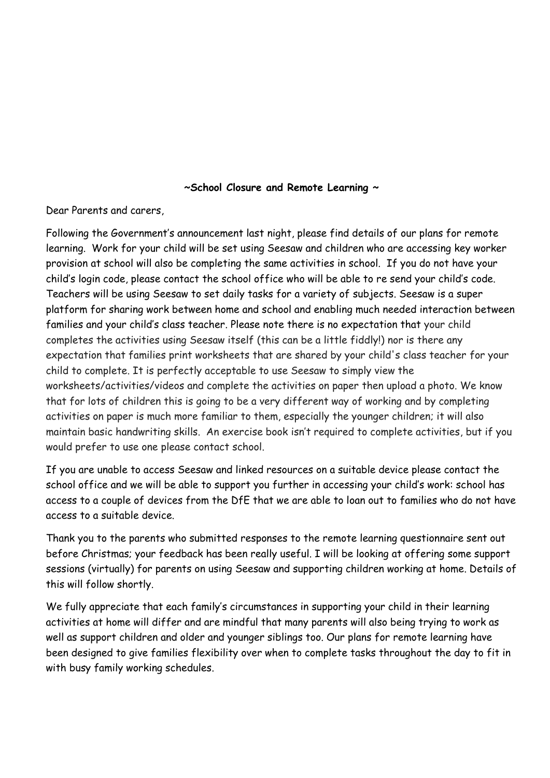## **~School Closure and Remote Learning ~**

Dear Parents and carers,

Following the Government's announcement last night, please find details of our plans for remote learning. Work for your child will be set using Seesaw and children who are accessing key worker provision at school will also be completing the same activities in school. If you do not have your child's login code, please contact the school office who will be able to re send your child's code. Teachers will be using Seesaw to set daily tasks for a variety of subjects. Seesaw is a super platform for sharing work between home and school and enabling much needed interaction between families and your child's class teacher. Please note there is no expectation that your child completes the activities using Seesaw itself (this can be a little fiddly!) nor is there any expectation that families print worksheets that are shared by your child's class teacher for your child to complete. It is perfectly acceptable to use Seesaw to simply view the worksheets/activities/videos and complete the activities on paper then upload a photo. We know that for lots of children this is going to be a very different way of working and by completing activities on paper is much more familiar to them, especially the younger children; it will also maintain basic handwriting skills. An exercise book isn't required to complete activities, but if you would prefer to use one please contact school.

If you are unable to access Seesaw and linked resources on a suitable device please contact the school office and we will be able to support you further in accessing your child's work: school has access to a couple of devices from the DfE that we are able to loan out to families who do not have access to a suitable device.

Thank you to the parents who submitted responses to the remote learning questionnaire sent out before Christmas; your feedback has been really useful. I will be looking at offering some support sessions (virtually) for parents on using Seesaw and supporting children working at home. Details of this will follow shortly.

We fully appreciate that each family's circumstances in supporting your child in their learning activities at home will differ and are mindful that many parents will also being trying to work as well as support children and older and younger siblings too. Our plans for remote learning have been designed to give families flexibility over when to complete tasks throughout the day to fit in with busy family working schedules.